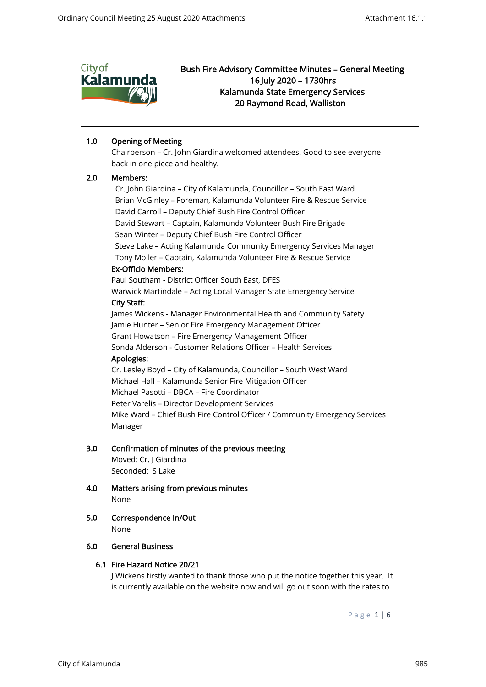

# 1.0 Opening of Meeting

Chairperson – Cr. John Giardina welcomed attendees. Good to see everyone back in one piece and healthy.

## 2.0 Members:

 Cr. John Giardina – City of Kalamunda, Councillor – South East Ward Brian McGinley – Foreman, Kalamunda Volunteer Fire & Rescue Service David Carroll – Deputy Chief Bush Fire Control Officer David Stewart – Captain, Kalamunda Volunteer Bush Fire Brigade Sean Winter – Deputy Chief Bush Fire Control Officer Steve Lake – Acting Kalamunda Community Emergency Services Manager Tony Moiler – Captain, Kalamunda Volunteer Fire & Rescue Service Ex-Officio Members: Paul Southam - District Officer South East, DFES Warwick Martindale – Acting Local Manager State Emergency Service City Staff: James Wickens - Manager Environmental Health and Community Safety Jamie Hunter – Senior Fire Emergency Management Officer Grant Howatson – Fire Emergency Management Officer Sonda Alderson - Customer Relations Officer – Health Services Apologies:

Cr. Lesley Boyd – City of Kalamunda, Councillor – South West Ward Michael Hall – Kalamunda Senior Fire Mitigation Officer Michael Pasotti – DBCA – Fire Coordinator Peter Varelis – Director Development Services Mike Ward – Chief Bush Fire Control Officer / Community Emergency Services Manager

## 3.0 Confirmation of minutes of the previous meeting

 Moved: Cr. J Giardina Seconded: S Lake

- 4.0 Matters arising from previous minutes None
- 5.0 Correspondence In/Out None

## 6.0 General Business

## 6.1 Fire Hazard Notice 20/21

J Wickens firstly wanted to thank those who put the notice together this year. It is currently available on the website now and will go out soon with the rates to

P a g e 1 | 6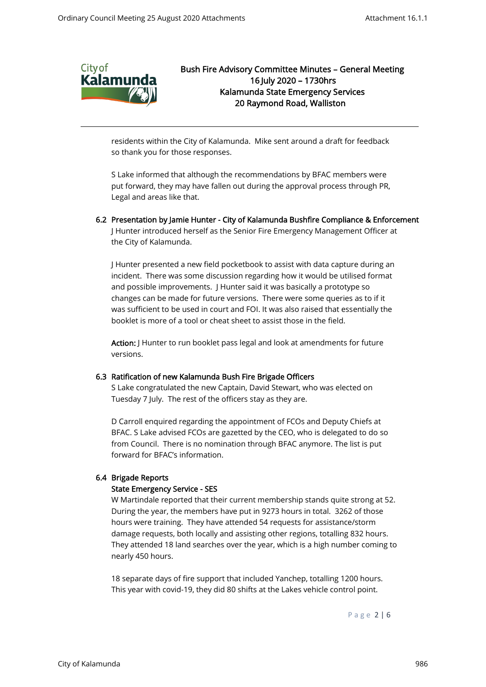

residents within the City of Kalamunda. Mike sent around a draft for feedback so thank you for those responses.

S Lake informed that although the recommendations by BFAC members were put forward, they may have fallen out during the approval process through PR, Legal and areas like that.

6.2 Presentation by Jamie Hunter - City of Kalamunda Bushfire Compliance & Enforcement J Hunter introduced herself as the Senior Fire Emergency Management Officer at the City of Kalamunda.

J Hunter presented a new field pocketbook to assist with data capture during an incident. There was some discussion regarding how it would be utilised format and possible improvements. J Hunter said it was basically a prototype so changes can be made for future versions. There were some queries as to if it was sufficient to be used in court and FOI. It was also raised that essentially the booklet is more of a tool or cheat sheet to assist those in the field.

Action: J Hunter to run booklet pass legal and look at amendments for future versions.

## 6.3 Ratification of new Kalamunda Bush Fire Brigade Officers

S Lake congratulated the new Captain, David Stewart, who was elected on Tuesday 7 July. The rest of the officers stay as they are.

D Carroll enquired regarding the appointment of FCOs and Deputy Chiefs at BFAC. S Lake advised FCOs are gazetted by the CEO, who is delegated to do so from Council. There is no nomination through BFAC anymore. The list is put forward for BFAC's information.

## 6.4 Brigade Reports

## State Emergency Service - SES

W Martindale reported that their current membership stands quite strong at 52. During the year, the members have put in 9273 hours in total. 3262 of those hours were training. They have attended 54 requests for assistance/storm damage requests, both locally and assisting other regions, totalling 832 hours. They attended 18 land searches over the year, which is a high number coming to nearly 450 hours.

18 separate days of fire support that included Yanchep, totalling 1200 hours. This year with covid-19, they did 80 shifts at the Lakes vehicle control point.

P a g e 2 | 6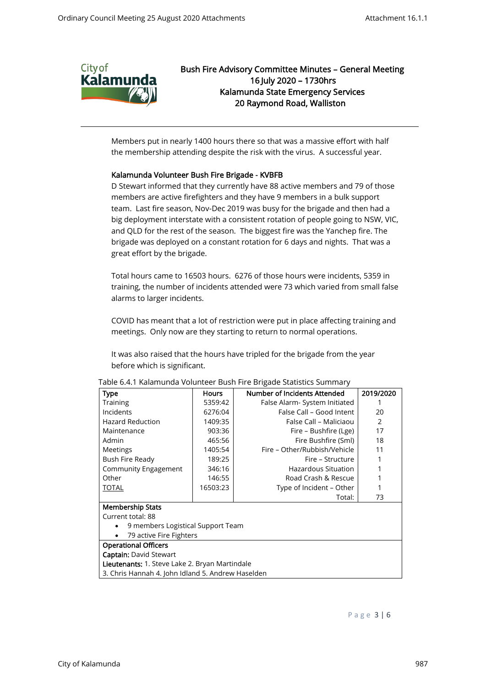

Members put in nearly 1400 hours there so that was a massive effort with half the membership attending despite the risk with the virus. A successful year.

## Kalamunda Volunteer Bush Fire Brigade - KVBFB

D Stewart informed that they currently have 88 active members and 79 of those members are active firefighters and they have 9 members in a bulk support team. Last fire season, Nov-Dec 2019 was busy for the brigade and then had a big deployment interstate with a consistent rotation of people going to NSW, VIC, and QLD for the rest of the season. The biggest fire was the Yanchep fire. The brigade was deployed on a constant rotation for 6 days and nights. That was a great effort by the brigade.

Total hours came to 16503 hours. 6276 of those hours were incidents, 5359 in training, the number of incidents attended were 73 which varied from small false alarms to larger incidents.

COVID has meant that a lot of restriction were put in place affecting training and meetings. Only now are they starting to return to normal operations.

It was also raised that the hours have tripled for the brigade from the year before which is significant.

| <b>Type</b>                                           | Hours    | Number of Incidents Attended | 2019/2020 |
|-------------------------------------------------------|----------|------------------------------|-----------|
| Training                                              | 5359:42  | False Alarm-System Initiated |           |
| Incidents                                             | 6276:04  | False Call - Good Intent     | 20        |
| <b>Hazard Reduction</b>                               | 1409:35  | False Call - Maliciaou       | 2         |
| Maintenance                                           | 903:36   | Fire – Bushfire (Lge)        | 17        |
| Admin                                                 | 465:56   | Fire Bushfire (Sml)          | 18        |
| Meetings                                              | 1405:54  | Fire – Other/Rubbish/Vehicle | 11        |
| Bush Fire Ready                                       | 189:25   | Fire – Structure             |           |
| Community Engagement                                  | 346:16   | Hazardous Situation          |           |
| Other                                                 | 146:55   | Road Crash & Rescue          |           |
| <b>TOTAL</b>                                          | 16503:23 | Type of Incident - Other     |           |
|                                                       |          | Total:                       | 73        |
| <b>Membership Stats</b>                               |          |                              |           |
| Current total: 88                                     |          |                              |           |
| 9 members Logistical Support Team                     |          |                              |           |
| 79 active Fire Fighters                               |          |                              |           |
| <b>Operational Officers</b>                           |          |                              |           |
| <b>Captain: David Stewart</b>                         |          |                              |           |
| <b>Lieutenants:</b> 1. Steve Lake 2. Bryan Martindale |          |                              |           |
| 3. Chris Hannah 4. John Idland 5. Andrew Haselden     |          |                              |           |

#### Table 6.4.1 Kalamunda Volunteer Bush Fire Brigade Statistics Summary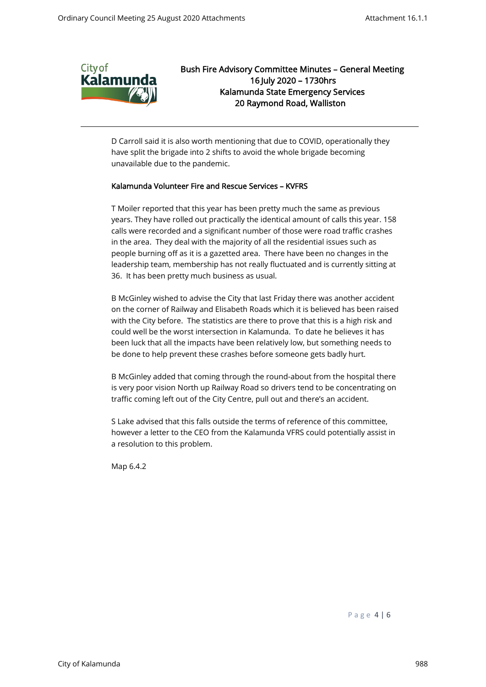

D Carroll said it is also worth mentioning that due to COVID, operationally they have split the brigade into 2 shifts to avoid the whole brigade becoming unavailable due to the pandemic.

## Kalamunda Volunteer Fire and Rescue Services – KVFRS

T Moiler reported that this year has been pretty much the same as previous years. They have rolled out practically the identical amount of calls this year. 158 calls were recorded and a significant number of those were road traffic crashes in the area. They deal with the majority of all the residential issues such as people burning off as it is a gazetted area. There have been no changes in the leadership team, membership has not really fluctuated and is currently sitting at 36. It has been pretty much business as usual.

B McGinley wished to advise the City that last Friday there was another accident on the corner of Railway and Elisabeth Roads which it is believed has been raised with the City before. The statistics are there to prove that this is a high risk and could well be the worst intersection in Kalamunda. To date he believes it has been luck that all the impacts have been relatively low, but something needs to be done to help prevent these crashes before someone gets badly hurt.

B McGinley added that coming through the round-about from the hospital there is very poor vision North up Railway Road so drivers tend to be concentrating on traffic coming left out of the City Centre, pull out and there's an accident.

S Lake advised that this falls outside the terms of reference of this committee, however a letter to the CEO from the Kalamunda VFRS could potentially assist in a resolution to this problem.

Map 6.4.2

P a g e 4 | 6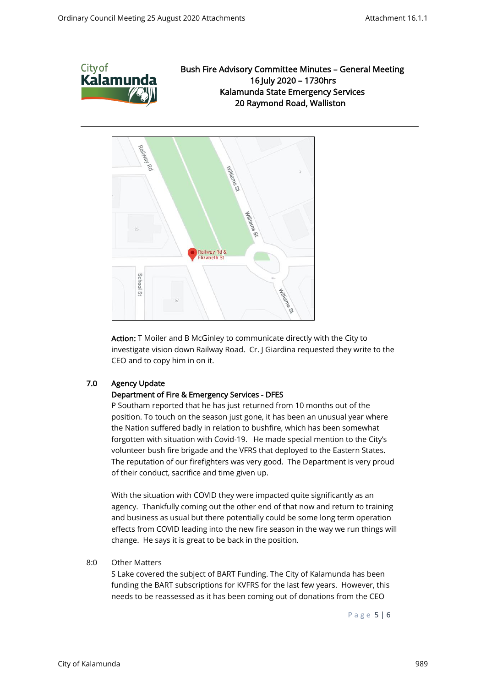



Action: T Moiler and B McGinley to communicate directly with the City to investigate vision down Railway Road. Cr. J Giardina requested they write to the CEO and to copy him in on it.

## 7.0 Agency Update

## Department of Fire & Emergency Services - DFES

P Southam reported that he has just returned from 10 months out of the position. To touch on the season just gone, it has been an unusual year where the Nation suffered badly in relation to bushfire, which has been somewhat forgotten with situation with Covid-19. He made special mention to the City's volunteer bush fire brigade and the VFRS that deployed to the Eastern States. The reputation of our firefighters was very good. The Department is very proud of their conduct, sacrifice and time given up.

With the situation with COVID they were impacted quite significantly as an agency. Thankfully coming out the other end of that now and return to training and business as usual but there potentially could be some long term operation effects from COVID leading into the new fire season in the way we run things will change. He says it is great to be back in the position.

## 8:0 Other Matters

S Lake covered the subject of BART Funding. The City of Kalamunda has been funding the BART subscriptions for KVFRS for the last few years. However, this needs to be reassessed as it has been coming out of donations from the CEO

P a g e 5 | 6